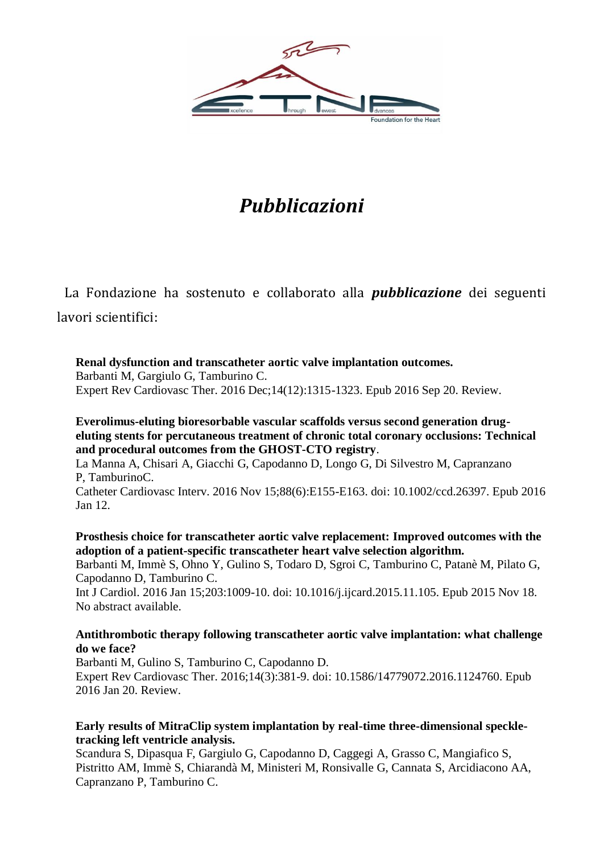

# *Pubblicazioni*

La Fondazione ha sostenuto e collaborato alla *pubblicazione* dei seguenti lavori scientifici:

**[Renal dysfunction and transcatheter aortic valve implantation outcomes.](https://www.ncbi.nlm.nih.gov/pubmed/27636535)** Barbanti M, Gargiulo G, Tamburino C. Expert Rev Cardiovasc Ther. 2016 Dec;14(12):1315-1323. Epub 2016 Sep 20. Review.

**[Everolimus-eluting bioresorbable vascular scaffolds versus second generation drug](https://www.ncbi.nlm.nih.gov/pubmed/26756959)[eluting stents for percutaneous treatment of chronic total coronary occlusions: Technical](https://www.ncbi.nlm.nih.gov/pubmed/26756959)  [and procedural outcomes from the GHOST-CTO registry](https://www.ncbi.nlm.nih.gov/pubmed/26756959)**.

La Manna A, Chisari A, Giacchi G, Capodanno D, Longo G, Di Silvestro M, Capranzano P, TamburinoC.

Catheter Cardiovasc Interv. 2016 Nov 15;88(6):E155-E163. doi: 10.1002/ccd.26397. Epub 2016 Jan 12.

**[Prosthesis choice for transcatheter aortic valve replacement: Improved outcomes with the](https://www.ncbi.nlm.nih.gov/pubmed/26630623)  [adoption of a patient-specific transcatheter heart valve selection algorithm.](https://www.ncbi.nlm.nih.gov/pubmed/26630623)**

Barbanti M, Immè S, Ohno Y, Gulino S, Todaro D, Sgroi C, Tamburino C, Patanè M, Pilato G, Capodanno D, Tamburino C.

Int J Cardiol. 2016 Jan 15;203:1009-10. doi: 10.1016/j.ijcard.2015.11.105. Epub 2015 Nov 18. No abstract available.

#### **[Antithrombotic therapy following transcatheter aortic valve implantation: what challenge](https://www.ncbi.nlm.nih.gov/pubmed/26601574)  [do we face?](https://www.ncbi.nlm.nih.gov/pubmed/26601574)**

Barbanti M, Gulino S, Tamburino C, Capodanno D. Expert Rev Cardiovasc Ther. 2016;14(3):381-9. doi: 10.1586/14779072.2016.1124760. Epub 2016 Jan 20. Review.

#### **[Early results of MitraClip system implantation by real-time three-dimensional speckle](https://www.ncbi.nlm.nih.gov/pubmed/26258717)[tracking left ventricle analysis.](https://www.ncbi.nlm.nih.gov/pubmed/26258717)**

Scandura S, Dipasqua F, Gargiulo G, Capodanno D, Caggegi A, Grasso C, Mangiafico S, Pistritto AM, Immè S, Chiarandà M, Ministeri M, Ronsivalle G, Cannata S, Arcidiacono AA, Capranzano P, Tamburino C.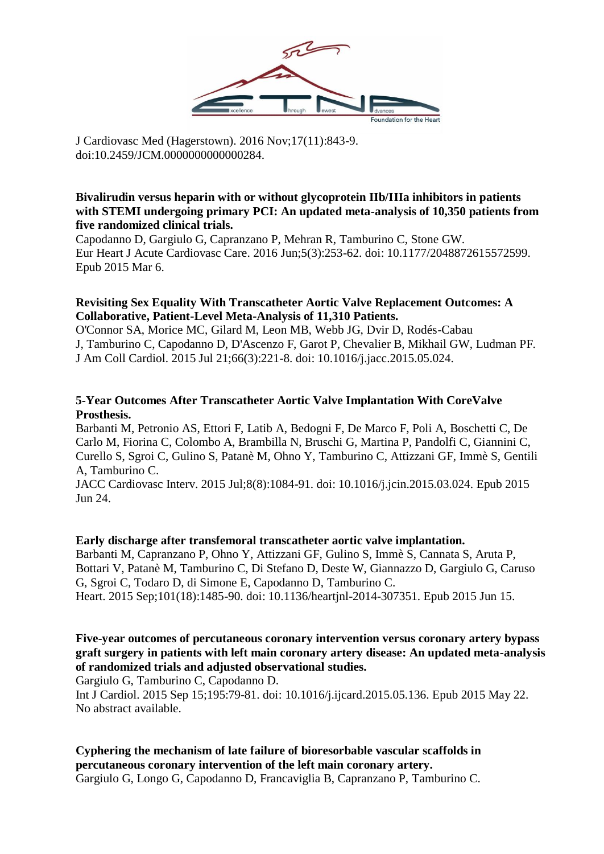

J Cardiovasc Med (Hagerstown). 2016 Nov;17(11):843-9. doi:10.2459/JCM.0000000000000284.

#### **[Bivalirudin versus heparin with or without glycoprotein IIb/IIIa inhibitors in patients](https://www.ncbi.nlm.nih.gov/pubmed/25746943)  [with STEMI undergoing primary PCI: An updated meta-analysis of 10,350 patients from](https://www.ncbi.nlm.nih.gov/pubmed/25746943)  [five randomized clinical trials.](https://www.ncbi.nlm.nih.gov/pubmed/25746943)**

Capodanno D, Gargiulo G, Capranzano P, Mehran R, Tamburino C, Stone GW. Eur Heart J Acute Cardiovasc Care. 2016 Jun;5(3):253-62. doi: 10.1177/2048872615572599. Epub 2015 Mar 6.

#### **[Revisiting Sex Equality With Transcatheter Aortic Valve Replacement Outcomes: A](https://www.ncbi.nlm.nih.gov/pubmed/26184614)  [Collaborative, Patient-Level Meta-Analysis of](https://www.ncbi.nlm.nih.gov/pubmed/26184614) 11,310 Patients.**

O'Connor SA, Morice MC, Gilard M, Leon MB, Webb JG, Dvir D, Rodés-Cabau J, Tamburino C, Capodanno D, D'Ascenzo F, Garot P, Chevalier B, Mikhail GW, Ludman PF. J Am Coll Cardiol. 2015 Jul 21;66(3):221-8. doi: 10.1016/j.jacc.2015.05.024.

#### **[5-Year Outcomes After Transcatheter Aortic Valve Implantation With CoreValve](https://www.ncbi.nlm.nih.gov/pubmed/26117458)  [Prosthesis.](https://www.ncbi.nlm.nih.gov/pubmed/26117458)**

Barbanti M, Petronio AS, Ettori F, Latib A, Bedogni F, De Marco F, Poli A, Boschetti C, De Carlo M, Fiorina C, Colombo A, Brambilla N, Bruschi G, Martina P, Pandolfi C, Giannini C, Curello S, Sgroi C, Gulino S, Patanè M, Ohno Y, Tamburino C, Attizzani GF, Immè S, Gentili A, Tamburino C.

JACC Cardiovasc Interv. 2015 Jul;8(8):1084-91. doi: 10.1016/j.jcin.2015.03.024. Epub 2015 Jun 24.

#### **[Early discharge after transfemoral transcatheter aortic valve implantation.](https://www.ncbi.nlm.nih.gov/pubmed/26076940)**

Barbanti M, Capranzano P, Ohno Y, Attizzani GF, Gulino S, Immè S, Cannata S, Aruta P, Bottari V, Patanè M, Tamburino C, Di Stefano D, Deste W, Giannazzo D, Gargiulo G, Caruso G, Sgroi C, Todaro D, di Simone E, Capodanno D, Tamburino C. Heart. 2015 Sep;101(18):1485-90. doi: 10.1136/heartjnl-2014-307351. Epub 2015 Jun 15.

#### **[Five-year outcomes of percutaneous coronary intervention versus coronary artery bypass](https://www.ncbi.nlm.nih.gov/pubmed/26025863)  [graft surgery in patients with left main coronary artery disease: An updated meta-analysis](https://www.ncbi.nlm.nih.gov/pubmed/26025863)  [of randomized trials and adjusted observational studies.](https://www.ncbi.nlm.nih.gov/pubmed/26025863)**

Gargiulo G, Tamburino C, Capodanno D.

Int J Cardiol. 2015 Sep 15;195:79-81. doi: 10.1016/j.ijcard.2015.05.136. Epub 2015 May 22. No abstract available.

## **[Cyphering the mechanism of late failure of bioresorbable vascular scaffolds in](https://www.ncbi.nlm.nih.gov/pubmed/25999117)  [percutaneous coronary intervention of the left main coronary artery.](https://www.ncbi.nlm.nih.gov/pubmed/25999117)**

Gargiulo G, Longo G, Capodanno D, Francaviglia B, Capranzano P, Tamburino C.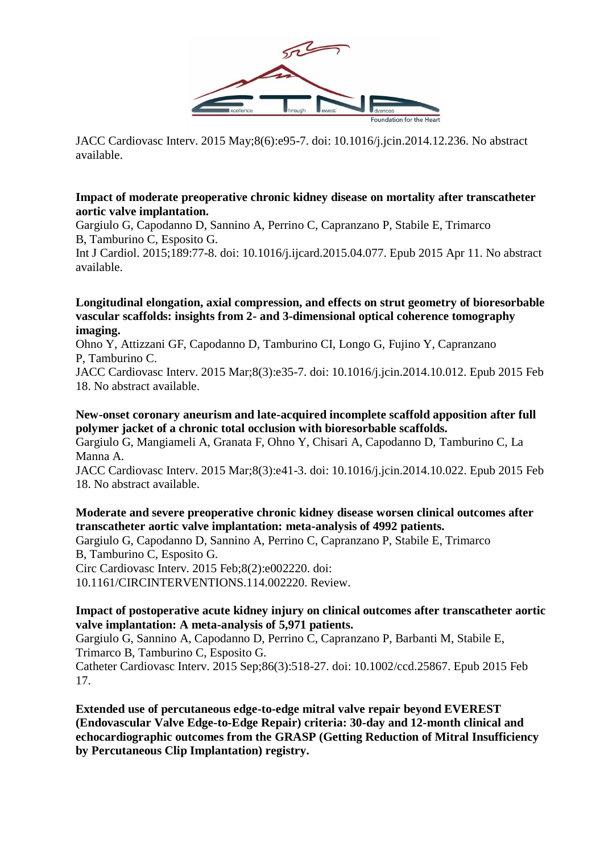

JACC Cardiovasc Interv. 2015 May;8(6):e95-7. doi: 10.1016/j.jcin.2014.12.236. No abstract available.

#### **[Impact of moderate preoperative chronic kidney disease on mortality after transcatheter](https://www.ncbi.nlm.nih.gov/pubmed/25885876)  [aortic valve implantation.](https://www.ncbi.nlm.nih.gov/pubmed/25885876)**

Gargiulo G, Capodanno D, Sannino A, Perrino C, Capranzano P, Stabile E, Trimarco B, Tamburino C, Esposito G.

Int J Cardiol. 2015;189:77-8. doi: 10.1016/j.ijcard.2015.04.077. Epub 2015 Apr 11. No abstract available.

#### **[Longitudinal elongation, axial compression, and effects on strut geometry of bioresorbable](https://www.ncbi.nlm.nih.gov/pubmed/25703882)  vascular scaffolds: insights from 2- [and 3-dimensional optical coherence tomography](https://www.ncbi.nlm.nih.gov/pubmed/25703882)  [imaging.](https://www.ncbi.nlm.nih.gov/pubmed/25703882)**

Ohno Y, Attizzani GF, Capodanno D, Tamburino CI, Longo G, Fujino Y, Capranzano P, Tamburino C.

JACC Cardiovasc Interv. 2015 Mar;8(3):e35-7. doi: 10.1016/j.jcin.2014.10.012. Epub 2015 Feb 18. No abstract available.

#### **[New-onset coronary aneurism and late-acquired incomplete scaffold apposition after full](https://www.ncbi.nlm.nih.gov/pubmed/25703870)  [polymer jacket of a chronic total occlusion with bioresorbable scaffolds.](https://www.ncbi.nlm.nih.gov/pubmed/25703870)**

Gargiulo G, Mangiameli A, Granata F, Ohno Y, Chisari A, Capodanno D, Tamburino C, La Manna A.

JACC Cardiovasc Interv. 2015 Mar;8(3):e41-3. doi: 10.1016/j.jcin.2014.10.022. Epub 2015 Feb 18. No abstract available.

#### **[Moderate and severe preoperative chronic kidney disease worsen clinical outcomes after](https://www.ncbi.nlm.nih.gov/pubmed/25652319)  [transcatheter aortic valve implantation: meta-analysis of 4992 patients.](https://www.ncbi.nlm.nih.gov/pubmed/25652319)**

Gargiulo G, Capodanno D, Sannino A, Perrino C, Capranzano P, Stabile E, Trimarco B, Tamburino C, Esposito G.

Circ Cardiovasc Interv. 2015 Feb;8(2):e002220. doi:

10.1161/CIRCINTERVENTIONS.114.002220. Review.

#### **[Impact of postoperative acute kidney injury on clinical outcomes after transcatheter aortic](https://www.ncbi.nlm.nih.gov/pubmed/25641565)  [valve implantation: A meta-analysis of 5,971 patients.](https://www.ncbi.nlm.nih.gov/pubmed/25641565)**

Gargiulo G, Sannino A, Capodanno D, Perrino C, Capranzano P, Barbanti M, Stabile E, Trimarco B, Tamburino C, Esposito G.

Catheter Cardiovasc Interv. 2015 Sep;86(3):518-27. doi: 10.1002/ccd.25867. Epub 2015 Feb 17.

**[Extended use of percutaneous edge-to-edge mitral valve repair beyond EVEREST](https://www.ncbi.nlm.nih.gov/pubmed/25499300)  [\(Endovascular Valve Edge-to-Edge Repair\) criteria: 30-day and 12-month clinical and](https://www.ncbi.nlm.nih.gov/pubmed/25499300)  [echocardiographic outcomes from the GRASP \(Getting Reduction of Mitral Insufficiency](https://www.ncbi.nlm.nih.gov/pubmed/25499300)  [by Percutaneous Clip Implantation\) registry.](https://www.ncbi.nlm.nih.gov/pubmed/25499300)**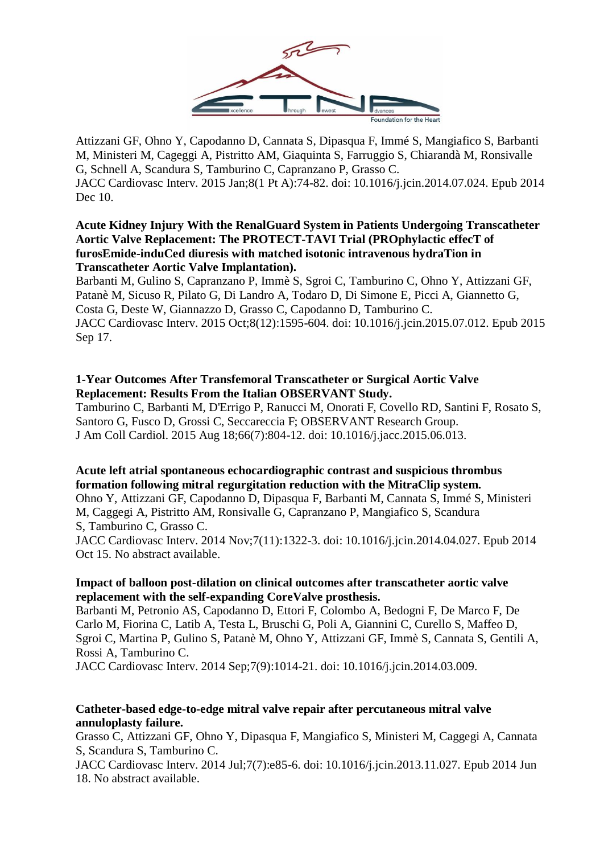

Attizzani GF, Ohno Y, Capodanno D, Cannata S, Dipasqua F, Immé S, Mangiafico S, Barbanti M, Ministeri M, Cageggi A, Pistritto AM, Giaquinta S, Farruggio S, Chiarandà M, Ronsivalle G, Schnell A, Scandura S, Tamburino C, Capranzano P, Grasso C. JACC Cardiovasc Interv. 2015 Jan;8(1 Pt A):74-82. doi: 10.1016/j.jcin.2014.07.024. Epub 2014 Dec 10.

#### **[Acute Kidney Injury With the RenalGuard System in Patients Undergoing Transcatheter](https://www.ncbi.nlm.nih.gov/pubmed/26386766)  [Aortic Valve Replacement: The PROTECT-TAVI Trial \(PROphylactic effecT of](https://www.ncbi.nlm.nih.gov/pubmed/26386766)  [furosEmide-induCed diuresis with matched isotonic intravenous hydraTion in](https://www.ncbi.nlm.nih.gov/pubmed/26386766)  [Transcatheter Aortic Valve Implantation\).](https://www.ncbi.nlm.nih.gov/pubmed/26386766)**

Barbanti M, Gulino S, Capranzano P, Immè S, Sgroi C, Tamburino C, Ohno Y, Attizzani GF, Patanè M, Sicuso R, Pilato G, Di Landro A, Todaro D, Di Simone E, Picci A, Giannetto G, Costa G, Deste W, Giannazzo D, Grasso C, Capodanno D, Tamburino C. JACC Cardiovasc Interv. 2015 Oct;8(12):1595-604. doi: 10.1016/j.jcin.2015.07.012. Epub 2015 Sep 17.

#### **[1-Year Outcomes After Transfemoral](https://www.ncbi.nlm.nih.gov/pubmed/26271063) Transcatheter or Surgical Aortic Valve [Replacement: Results From the Italian OBSERVANT Study.](https://www.ncbi.nlm.nih.gov/pubmed/26271063)**

Tamburino C, Barbanti M, D'Errigo P, Ranucci M, Onorati F, Covello RD, Santini F, Rosato S, Santoro G, Fusco D, Grossi C, Seccareccia F; OBSERVANT Research Group. J Am Coll Cardiol. 2015 Aug 18;66(7):804-12. doi: 10.1016/j.jacc.2015.06.013.

## **[Acute left atrial spontaneous echocardiographic contrast and suspicious thrombus](https://www.ncbi.nlm.nih.gov/pubmed/25326740)  [formation following mitral regurgitation reduction with the MitraClip system.](https://www.ncbi.nlm.nih.gov/pubmed/25326740)**

Ohno Y, Attizzani GF, Capodanno D, Dipasqua F, Barbanti M, Cannata S, Immé S, Ministeri M, Caggegi A, Pistritto AM, Ronsivalle G, Capranzano P, Mangiafico S, Scandura S, Tamburino C, Grasso C.

JACC Cardiovasc Interv. 2014 Nov;7(11):1322-3. doi: 10.1016/j.jcin.2014.04.027. Epub 2014 Oct 15. No abstract available.

#### **[Impact of balloon post-dilation on clinical outcomes after transcatheter aortic valve](https://www.ncbi.nlm.nih.gov/pubmed/25234674)  [replacement with the self-expanding CoreValve prosthesis.](https://www.ncbi.nlm.nih.gov/pubmed/25234674)**

Barbanti M, Petronio AS, Capodanno D, Ettori F, Colombo A, Bedogni F, De Marco F, De Carlo M, Fiorina C, Latib A, Testa L, Bruschi G, Poli A, Giannini C, Curello S, Maffeo D, Sgroi C, Martina P, Gulino S, Patanè M, Ohno Y, Attizzani GF, Immè S, Cannata S, Gentili A, Rossi A, Tamburino C.

JACC Cardiovasc Interv. 2014 Sep;7(9):1014-21. doi: 10.1016/j.jcin.2014.03.009.

#### **[Catheter-based edge-to-edge mitral valve repair after percutaneous mitral valve](https://www.ncbi.nlm.nih.gov/pubmed/24954567)  [annuloplasty failure.](https://www.ncbi.nlm.nih.gov/pubmed/24954567)**

Grasso C, Attizzani GF, Ohno Y, Dipasqua F, Mangiafico S, Ministeri M, Caggegi A, Cannata S, Scandura S, Tamburino C.

JACC Cardiovasc Interv. 2014 Jul;7(7):e85-6. doi: 10.1016/j.jcin.2013.11.027. Epub 2014 Jun 18. No abstract available.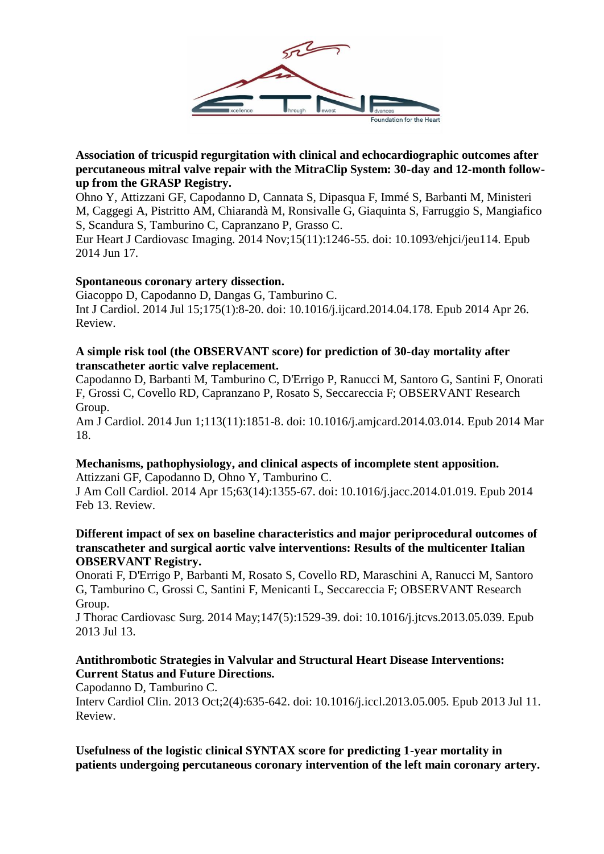

**[Association of tricuspid regurgitation with clinical and echocardiographic outcomes after](https://www.ncbi.nlm.nih.gov/pubmed/24939944)  [percutaneous mitral valve repair with the MitraClip System: 30-day and 12-month follow](https://www.ncbi.nlm.nih.gov/pubmed/24939944)[up from the GRASP Registry.](https://www.ncbi.nlm.nih.gov/pubmed/24939944)**

Ohno Y, Attizzani GF, Capodanno D, Cannata S, Dipasqua F, Immé S, Barbanti M, Ministeri M, Caggegi A, Pistritto AM, Chiarandà M, Ronsivalle G, Giaquinta S, Farruggio S, Mangiafico S, Scandura S, Tamburino C, Capranzano P, Grasso C.

Eur Heart J Cardiovasc Imaging. 2014 Nov;15(11):1246-55. doi: 10.1093/ehjci/jeu114. Epub 2014 Jun 17.

#### **[Spontaneous coronary artery dissection.](https://www.ncbi.nlm.nih.gov/pubmed/24861255)**

Giacoppo D, Capodanno D, Dangas G, Tamburino C. Int J Cardiol. 2014 Jul 15;175(1):8-20. doi: 10.1016/j.ijcard.2014.04.178. Epub 2014 Apr 26. Review.

#### **[A simple risk tool \(the OBSERVANT score\) for prediction of 30-day mortality after](https://www.ncbi.nlm.nih.gov/pubmed/24837264)  [transcatheter aortic valve replacement.](https://www.ncbi.nlm.nih.gov/pubmed/24837264)**

Capodanno D, Barbanti M, Tamburino C, D'Errigo P, Ranucci M, Santoro G, Santini F, Onorati F, Grossi C, Covello RD, Capranzano P, Rosato S, Seccareccia F; OBSERVANT Research Group.

Am J Cardiol. 2014 Jun 1;113(11):1851-8. doi: 10.1016/j.amjcard.2014.03.014. Epub 2014 Mar 18.

## **[Mechanisms, pathophysiology, and clinical aspects of incomplete stent apposition.](https://www.ncbi.nlm.nih.gov/pubmed/24530675)**

Attizzani GF, Capodanno D, Ohno Y, Tamburino C.

J Am Coll Cardiol. 2014 Apr 15;63(14):1355-67. doi: 10.1016/j.jacc.2014.01.019. Epub 2014 Feb 13. Review.

#### **[Different impact of sex on baseline characteristics and major periprocedural outcomes of](https://www.ncbi.nlm.nih.gov/pubmed/23856202)  [transcatheter and surgical aortic valve interventions: Results of the multicenter Italian](https://www.ncbi.nlm.nih.gov/pubmed/23856202)  [OBSERVANT Registry.](https://www.ncbi.nlm.nih.gov/pubmed/23856202)**

Onorati F, D'Errigo P, Barbanti M, Rosato S, Covello RD, Maraschini A, Ranucci M, Santoro G, Tamburino C, Grossi C, Santini F, Menicanti L, Seccareccia F; OBSERVANT Research Group.

J Thorac Cardiovasc Surg. 2014 May;147(5):1529-39. doi: 10.1016/j.jtcvs.2013.05.039. Epub 2013 Jul 13.

### **[Antithrombotic Strategies in Valvular and Structural Heart Disease Interventions:](https://www.ncbi.nlm.nih.gov/pubmed/28582190)  [Current Status and Future Directions.](https://www.ncbi.nlm.nih.gov/pubmed/28582190)**

Capodanno D, Tamburino C.

Interv Cardiol Clin. 2013 Oct;2(4):635-642. doi: 10.1016/j.iccl.2013.05.005. Epub 2013 Jul 11. Review.

**[Usefulness of the logistic clinical SYNTAX score for predicting 1-year mortality in](https://www.ncbi.nlm.nih.gov/pubmed/23592634)  [patients undergoing percutaneous coronary intervention of the left main coronary artery.](https://www.ncbi.nlm.nih.gov/pubmed/23592634)**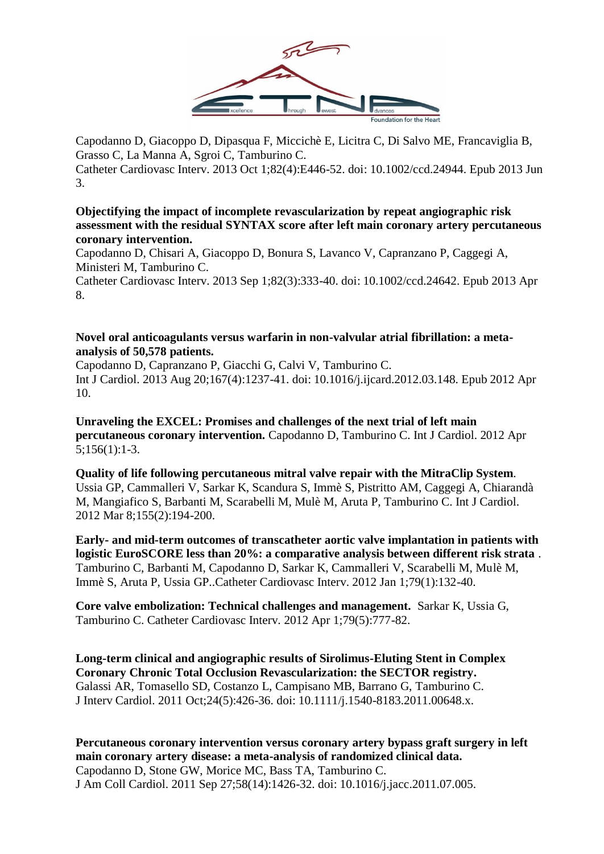

Capodanno D, Giacoppo D, Dipasqua F, Miccichè E, Licitra C, Di Salvo ME, Francaviglia B, Grasso C, La Manna A, Sgroi C, Tamburino C.

Catheter Cardiovasc Interv. 2013 Oct 1;82(4):E446-52. doi: 10.1002/ccd.24944. Epub 2013 Jun 3.

#### **[Objectifying the impact of incomplete revascularization by repeat angiographic risk](https://www.ncbi.nlm.nih.gov/pubmed/22936604)  [assessment with the residual SYNTAX score after left main coronary artery percutaneous](https://www.ncbi.nlm.nih.gov/pubmed/22936604)  [coronary intervention.](https://www.ncbi.nlm.nih.gov/pubmed/22936604)**

Capodanno D, Chisari A, Giacoppo D, Bonura S, Lavanco V, Capranzano P, Caggegi A, Ministeri M, Tamburino C.

Catheter Cardiovasc Interv. 2013 Sep 1;82(3):333-40. doi: 10.1002/ccd.24642. Epub 2013 Apr 8.

#### **[Novel oral anticoagulants versus warfarin in non-valvular atrial fibrillation: a meta](https://www.ncbi.nlm.nih.gov/pubmed/22494863)[analysis of 50,578 patients.](https://www.ncbi.nlm.nih.gov/pubmed/22494863)**

Capodanno D, Capranzano P, Giacchi G, Calvi V, Tamburino C. Int J Cardiol. 2013 Aug 20;167(4):1237-41. doi: 10.1016/j.ijcard.2012.03.148. Epub 2012 Apr 10.

**Unraveling the EXCEL: Promises and challenges of the next trial of left main percutaneous coronary intervention.** Capodanno D, Tamburino C. Int J Cardiol. 2012 Apr 5;156(1):1-3.

**Quality of life following percutaneous mitral valve repair with the MitraClip System**. Ussia GP, Cammalleri V, Sarkar K, Scandura S, Immè S, Pistritto AM, Caggegi A, Chiarandà M, Mangiafico S, Barbanti M, Scarabelli M, Mulè M, Aruta P, Tamburino C. Int J Cardiol. 2012 Mar 8;155(2):194-200.

**Early- and mid-term outcomes of transcatheter aortic valve implantation in patients with logistic EuroSCORE less than 20%: a comparative analysis between different risk strata** . Tamburino C, Barbanti M, Capodanno D, Sarkar K, Cammalleri V, Scarabelli M, Mulè M, Immè S, Aruta P, Ussia GP..Catheter Cardiovasc Interv. 2012 Jan 1;79(1):132-40.

**Core valve embolization: Technical challenges and management.** Sarkar K, Ussia G, Tamburino C. Catheter Cardiovasc Interv. 2012 Apr 1;79(5):777-82.

**[Long-term clinical and angiographic results of Sirolimus-Eluting Stent in Complex](https://www.ncbi.nlm.nih.gov/pubmed/22004600)  [Coronary Chronic Total Occlusion Revascularization: the SECTOR registry.](https://www.ncbi.nlm.nih.gov/pubmed/22004600)** Galassi AR, Tomasello SD, Costanzo L, Campisano MB, Barrano G, Tamburino C. J Interv Cardiol. 2011 Oct;24(5):426-36. doi: 10.1111/j.1540-8183.2011.00648.x.

**[Percutaneous coronary intervention versus coronary artery bypass graft surgery in left](https://www.ncbi.nlm.nih.gov/pubmed/21939824)  [main coronary artery disease: a meta-analysis of randomized clinical data.](https://www.ncbi.nlm.nih.gov/pubmed/21939824)** Capodanno D, Stone GW, Morice MC, Bass TA, Tamburino C. J Am Coll Cardiol. 2011 Sep 27;58(14):1426-32. doi: 10.1016/j.jacc.2011.07.005.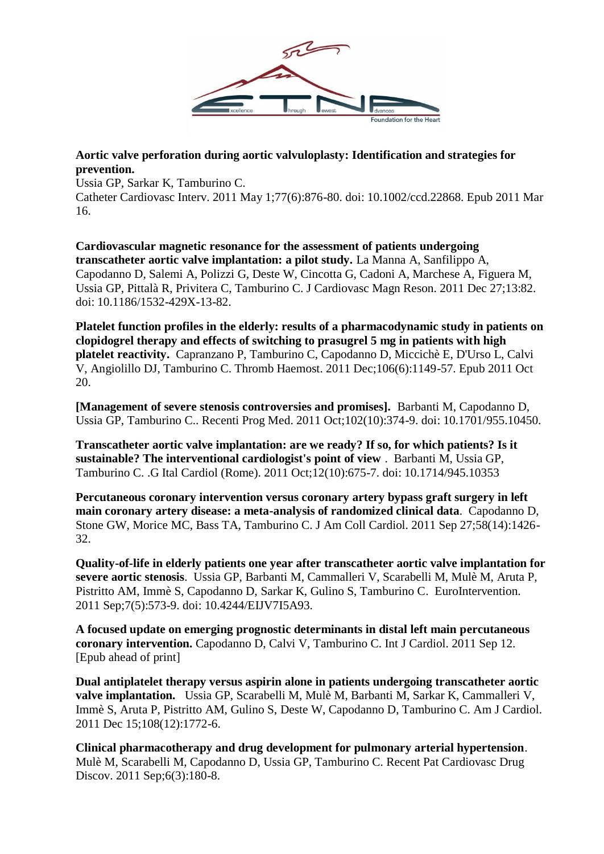

**[Aortic valve perforation during aortic valvuloplasty: Identification and strategies for](https://www.ncbi.nlm.nih.gov/pubmed/21413122)  [prevention.](https://www.ncbi.nlm.nih.gov/pubmed/21413122)**

Ussia GP, Sarkar K, Tamburino C.

Catheter Cardiovasc Interv. 2011 May 1;77(6):876-80. doi: 10.1002/ccd.22868. Epub 2011 Mar 16.

**Cardiovascular magnetic resonance for the assessment of patients undergoing transcatheter aortic valve implantation: a pilot study.** La Manna A, Sanfilippo A, Capodanno D, Salemi A, Polizzi G, Deste W, Cincotta G, Cadoni A, Marchese A, Figuera M, Ussia GP, Pittalà R, Privitera C, Tamburino C. J Cardiovasc Magn Reson. 2011 Dec 27;13:82. doi: 10.1186/1532-429X-13-82.

**Platelet function profiles in the elderly: results of a pharmacodynamic study in patients on clopidogrel therapy and effects of switching to prasugrel 5 mg in patients with high platelet reactivity.** Capranzano P, Tamburino C, Capodanno D, Miccichè E, D'Urso L, Calvi V, Angiolillo DJ, Tamburino C. Thromb Haemost. 2011 Dec;106(6):1149-57. Epub 2011 Oct 20.

**[Management of severe stenosis controversies and promises].** Barbanti M, Capodanno D, Ussia GP, Tamburino C.. Recenti Prog Med. 2011 Oct;102(10):374-9. doi: 10.1701/955.10450.

**Transcatheter aortic valve implantation: are we ready? If so, for which patients? Is it sustainable? The interventional cardiologist's point of view** . Barbanti M, Ussia GP, Tamburino C. .G Ital Cardiol (Rome). 2011 Oct;12(10):675-7. doi: 10.1714/945.10353

**Percutaneous coronary intervention versus coronary artery bypass graft surgery in left main coronary artery disease: a meta-analysis of randomized clinical data**. Capodanno D, Stone GW, Morice MC, Bass TA, Tamburino C. J Am Coll Cardiol. 2011 Sep 27;58(14):1426- 32.

**Quality-of-life in elderly patients one year after transcatheter aortic valve implantation for severe aortic stenosis**. Ussia GP, Barbanti M, Cammalleri V, Scarabelli M, Mulè M, Aruta P, Pistritto AM, Immè S, Capodanno D, Sarkar K, Gulino S, Tamburino C. EuroIntervention. 2011 Sep;7(5):573-9. doi: 10.4244/EIJV7I5A93.

**A focused update on emerging prognostic determinants in distal left main percutaneous coronary intervention.** Capodanno D, Calvi V, Tamburino C. Int J Cardiol. 2011 Sep 12. [Epub ahead of print]

**Dual antiplatelet therapy versus aspirin alone in patients undergoing transcatheter aortic valve implantation.** Ussia GP, Scarabelli M, Mulè M, Barbanti M, Sarkar K, Cammalleri V, Immè S, Aruta P, Pistritto AM, Gulino S, Deste W, Capodanno D, Tamburino C. Am J Cardiol. 2011 Dec 15;108(12):1772-6.

**Clinical pharmacotherapy and drug development for pulmonary arterial hypertension**. Mulè M, Scarabelli M, Capodanno D, Ussia GP, Tamburino C. Recent Pat Cardiovasc Drug Discov. 2011 Sep;6(3):180-8.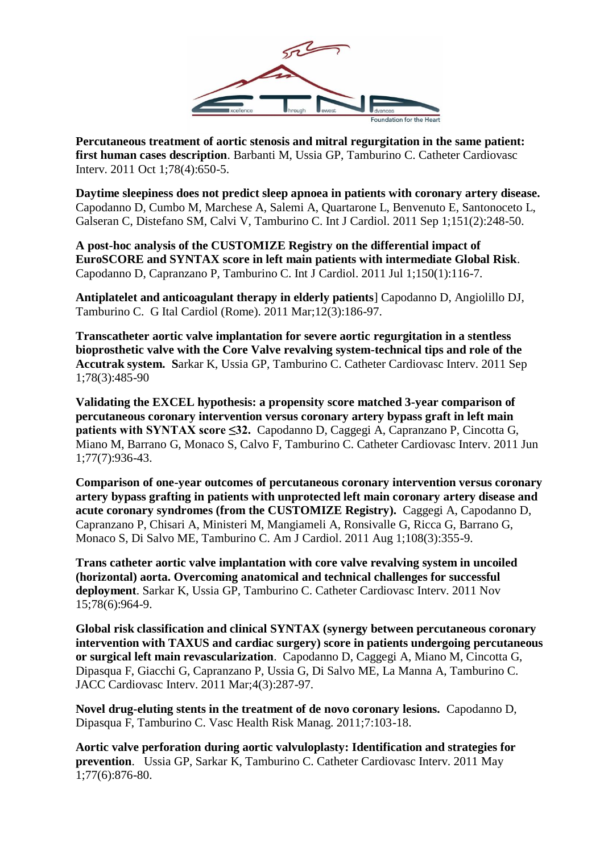

**Percutaneous treatment of aortic stenosis and mitral regurgitation in the same patient: first human cases description**. Barbanti M, Ussia GP, Tamburino C. Catheter Cardiovasc Interv. 2011 Oct 1;78(4):650-5.

**Daytime sleepiness does not predict sleep apnoea in patients with coronary artery disease.** Capodanno D, Cumbo M, Marchese A, Salemi A, Quartarone L, Benvenuto E, Santonoceto L, Galseran C, Distefano SM, Calvi V, Tamburino C. Int J Cardiol. 2011 Sep 1;151(2):248-50.

**A post-hoc analysis of the CUSTOMIZE Registry on the differential impact of EuroSCORE and SYNTAX score in left main patients with intermediate Global Risk**. Capodanno D, Capranzano P, Tamburino C. Int J Cardiol. 2011 Jul 1;150(1):116-7.

**Antiplatelet and anticoagulant therapy in elderly patients**] Capodanno D, Angiolillo DJ, Tamburino C. G Ital Cardiol (Rome). 2011 Mar;12(3):186-97.

**Transcatheter aortic valve implantation for severe aortic regurgitation in a stentless bioprosthetic valve with the Core Valve revalving system-technical tips and role of the Accutrak system. S**arkar K, Ussia GP, Tamburino C. Catheter Cardiovasc Interv. 2011 Sep 1;78(3):485-90

**Validating the EXCEL hypothesis: a propensity score matched 3-year comparison of percutaneous coronary intervention versus coronary artery bypass graft in left main patients with SYNTAX score ≤32.** Capodanno D, Caggegi A, Capranzano P, Cincotta G, Miano M, Barrano G, Monaco S, Calvo F, Tamburino C. Catheter Cardiovasc Interv. 2011 Jun 1;77(7):936-43.

**Comparison of one-year outcomes of percutaneous coronary intervention versus coronary artery bypass grafting in patients with unprotected left main coronary artery disease and acute coronary syndromes (from the CUSTOMIZE Registry).** Caggegi A, Capodanno D, Capranzano P, Chisari A, Ministeri M, Mangiameli A, Ronsivalle G, Ricca G, Barrano G, Monaco S, Di Salvo ME, Tamburino C. Am J Cardiol. 2011 Aug 1;108(3):355-9.

**Trans catheter aortic valve implantation with core valve revalving system in uncoiled (horizontal) aorta. Overcoming anatomical and technical challenges for successful deployment**. Sarkar K, Ussia GP, Tamburino C. Catheter Cardiovasc Interv. 2011 Nov 15;78(6):964-9.

**Global risk classification and clinical SYNTAX (synergy between percutaneous coronary intervention with TAXUS and cardiac surgery) score in patients undergoing percutaneous or surgical left main revascularization**. Capodanno D, Caggegi A, Miano M, Cincotta G, Dipasqua F, Giacchi G, Capranzano P, Ussia G, Di Salvo ME, La Manna A, Tamburino C. JACC Cardiovasc Interv. 2011 Mar;4(3):287-97.

**Novel drug-eluting stents in the treatment of de novo coronary lesions.** Capodanno D, Dipasqua F, Tamburino C. Vasc Health Risk Manag. 2011;7:103-18.

**Aortic valve perforation during aortic valvuloplasty: Identification and strategies for prevention**. Ussia GP, Sarkar K, Tamburino C. Catheter Cardiovasc Interv. 2011 May 1;77(6):876-80.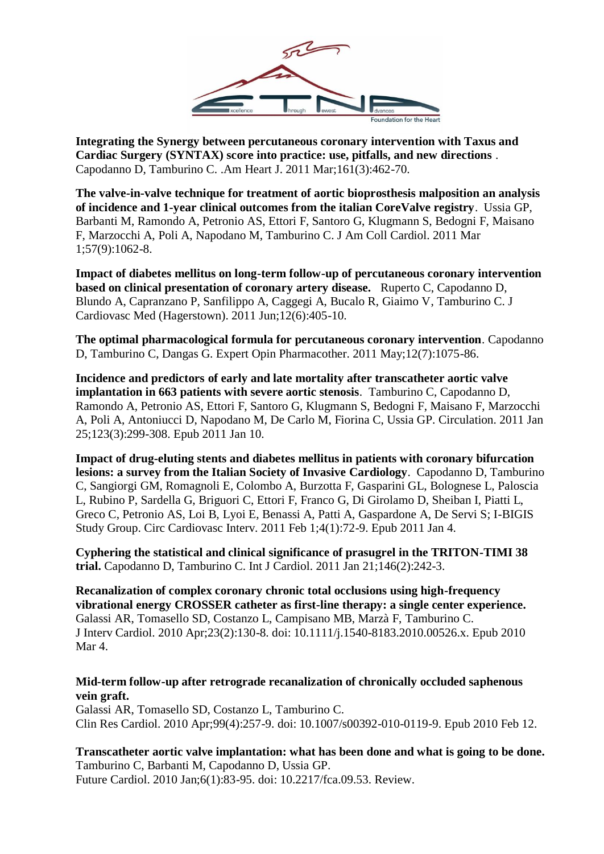

**Integrating the Synergy between percutaneous coronary intervention with Taxus and Cardiac Surgery (SYNTAX) score into practice: use, pitfalls, and new directions** . Capodanno D, Tamburino C. .Am Heart J. 2011 Mar;161(3):462-70.

**The valve-in-valve technique for treatment of aortic bioprosthesis malposition an analysis of incidence and 1-year clinical outcomes from the italian CoreValve registry**. Ussia GP, Barbanti M, Ramondo A, Petronio AS, Ettori F, Santoro G, Klugmann S, Bedogni F, Maisano F, Marzocchi A, Poli A, Napodano M, Tamburino C. J Am Coll Cardiol. 2011 Mar 1;57(9):1062-8.

**Impact of diabetes mellitus on long-term follow-up of percutaneous coronary intervention based on clinical presentation of coronary artery disease.** Ruperto C, Capodanno D, Blundo A, Capranzano P, Sanfilippo A, Caggegi A, Bucalo R, Giaimo V, Tamburino C. J Cardiovasc Med (Hagerstown). 2011 Jun;12(6):405-10.

**The optimal pharmacological formula for percutaneous coronary intervention**. Capodanno D, Tamburino C, Dangas G. Expert Opin Pharmacother. 2011 May;12(7):1075-86.

**Incidence and predictors of early and late mortality after transcatheter aortic valve implantation in 663 patients with severe aortic stenosis**. Tamburino C, Capodanno D, Ramondo A, Petronio AS, Ettori F, Santoro G, Klugmann S, Bedogni F, Maisano F, Marzocchi A, Poli A, Antoniucci D, Napodano M, De Carlo M, Fiorina C, Ussia GP. Circulation. 2011 Jan 25;123(3):299-308. Epub 2011 Jan 10.

**Impact of drug-eluting stents and diabetes mellitus in patients with coronary bifurcation lesions: a survey from the Italian Society of Invasive Cardiology**. Capodanno D, Tamburino C, Sangiorgi GM, Romagnoli E, Colombo A, Burzotta F, Gasparini GL, Bolognese L, Paloscia L, Rubino P, Sardella G, Briguori C, Ettori F, Franco G, Di Girolamo D, Sheiban I, Piatti L, Greco C, Petronio AS, Loi B, Lyoi E, Benassi A, Patti A, Gaspardone A, De Servi S; I-BIGIS Study Group. Circ Cardiovasc Interv. 2011 Feb 1;4(1):72-9. Epub 2011 Jan 4.

**Cyphering the statistical and clinical significance of prasugrel in the TRITON-TIMI 38 trial.** Capodanno D, Tamburino C. Int J Cardiol. 2011 Jan 21;146(2):242-3.

**[Recanalization of complex coronary chronic total occlusions using high-frequency](https://www.ncbi.nlm.nih.gov/pubmed/20236212)  [vibrational energy CROSSER catheter as first-line therapy: a single center experience.](https://www.ncbi.nlm.nih.gov/pubmed/20236212)** Galassi AR, Tomasello SD, Costanzo L, Campisano MB, Marzà F, Tamburino C. J Interv Cardiol. 2010 Apr;23(2):130-8. doi: 10.1111/j.1540-8183.2010.00526.x. Epub 2010 Mar 4.

#### **[Mid-term follow-up after retrograde recanalization of chronically occluded saphenous](https://www.ncbi.nlm.nih.gov/pubmed/20151140)  [vein graft.](https://www.ncbi.nlm.nih.gov/pubmed/20151140)**

Galassi AR, Tomasello SD, Costanzo L, Tamburino C. Clin Res Cardiol. 2010 Apr;99(4):257-9. doi: 10.1007/s00392-010-0119-9. Epub 2010 Feb 12.

**[Transcatheter aortic valve implantation: what has been done and what is going to be done.](https://www.ncbi.nlm.nih.gov/pubmed/20014989)** Tamburino C, Barbanti M, Capodanno D, Ussia GP. Future Cardiol. 2010 Jan;6(1):83-95. doi: 10.2217/fca.09.53. Review.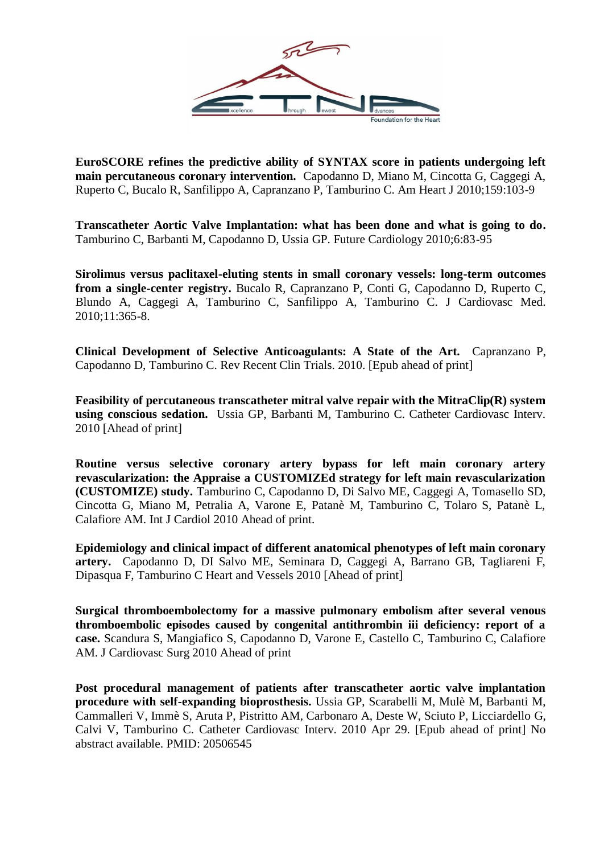

**EuroSCORE refines the predictive ability of SYNTAX score in patients undergoing left main percutaneous coronary intervention.** Capodanno D, Miano M, Cincotta G, Caggegi A, Ruperto C, Bucalo R, Sanfilippo A, Capranzano P, Tamburino C. Am Heart J 2010;159:103-9

**Transcatheter Aortic Valve Implantation: what has been done and what is going to do.** Tamburino C, Barbanti M, Capodanno D, Ussia GP. Future Cardiology 2010;6:83-95

**Sirolimus versus paclitaxel-eluting stents in small coronary vessels: long-term outcomes from a single-center registry.** Bucalo R, Capranzano P, Conti G, Capodanno D, Ruperto C, Blundo A, Caggegi A, Tamburino C, Sanfilippo A, Tamburino C. J Cardiovasc Med. 2010;11:365-8.

**[Clinical Development of Selective Anticoagulants: A State of the Art.](http://www.ncbi.nlm.nih.gov/pubmed/20199386)** Capranzano P, Capodanno D, Tamburino C. Rev Recent Clin Trials. 2010. [Epub ahead of print]

**Feasibility of percutaneous transcatheter mitral valve repair with the MitraClip(R) system using conscious sedation.** Ussia GP, Barbanti M, Tamburino C. Catheter Cardiovasc Interv. 2010 [Ahead of print]

**Routine versus selective coronary artery bypass for left main coronary artery revascularization: the Appraise a CUSTOMIZEd strategy for left main revascularization (CUSTOMIZE) study.** Tamburino C, Capodanno D, Di Salvo ME, Caggegi A, Tomasello SD, Cincotta G, Miano M, Petralia A, Varone E, Patanè M, Tamburino C, Tolaro S, Patanè L, Calafiore AM. Int J Cardiol 2010 Ahead of print.

**Epidemiology and clinical impact of different anatomical phenotypes of left main coronary artery.** Capodanno D, DI Salvo ME, Seminara D, Caggegi A, Barrano GB, Tagliareni F, Dipasqua F, Tamburino C Heart and Vessels 2010 [Ahead of print]

**Surgical thromboembolectomy for a massive pulmonary embolism after several venous thromboembolic episodes caused by congenital antithrombin iii deficiency: report of a case.** Scandura S, Mangiafico S, Capodanno D, Varone E, Castello C, Tamburino C, Calafiore AM. J Cardiovasc Surg 2010 Ahead of print

**Post procedural management of patients after transcatheter aortic valve implantation procedure with self-expanding bioprosthesis.** Ussia GP, Scarabelli M, Mulè M, Barbanti M, Cammalleri V, Immè S, Aruta P, Pistritto AM, Carbonaro A, Deste W, Sciuto P, Licciardello G, Calvi V, Tamburino C. Catheter Cardiovasc Interv. 2010 Apr 29. [Epub ahead of print] No abstract available. PMID: 20506545